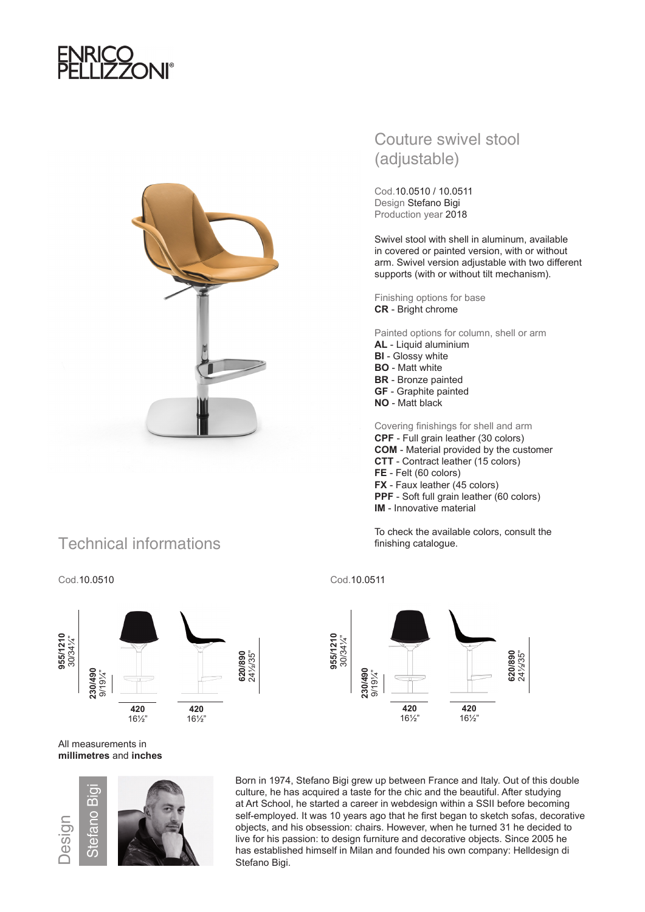



## Technical informations



## Cod.10.0510 Cod.10.0511

### All measurements in **millimetres** and **inches**



Born in 1974, Stefano Bigi grew up between France and Italy. Out of this double culture, he has acquired a taste for the chic and the beautiful. After studying at Art School, he started a career in webdesign within a SSII before becoming self-employed. It was 10 years ago that he first began to sketch sofas, decorative objects, and his obsession: chairs. However, when he turned 31 he decided to live for his passion: to design furniture and decorative objects. Since 2005 he has established himself in Milan and founded his own company: Helldesign di Stefano Bigi.

## Couture swivel stool (adjustable)

Cod.10.0510 / 10.0511 Design Stefano Bigi Production year 2018

Swivel stool with shell in aluminum, available in covered or painted version, with or without arm. Swivel version adjustable with two different supports (with or without tilt mechanism).

Finishing options for base **CR** - Bright chrome

Painted options for column, shell or arm **AL** - Liquid aluminium **BI** - Glossy white **BO** - Matt white **BR** - Bronze painted **GF** - Graphite painted **NO** - Matt black

Covering finishings for shell and arm **CPF** - Full grain leather (30 colors) **COM** - Material provided by the customer **CTT** - Contract leather (15 colors) **FE** - Felt (60 colors) **FX** - Faux leather (45 colors) **PPF** - Soft full grain leather (60 colors) **IM** - Innovative material

To check the available colors, consult the finishing catalogue.